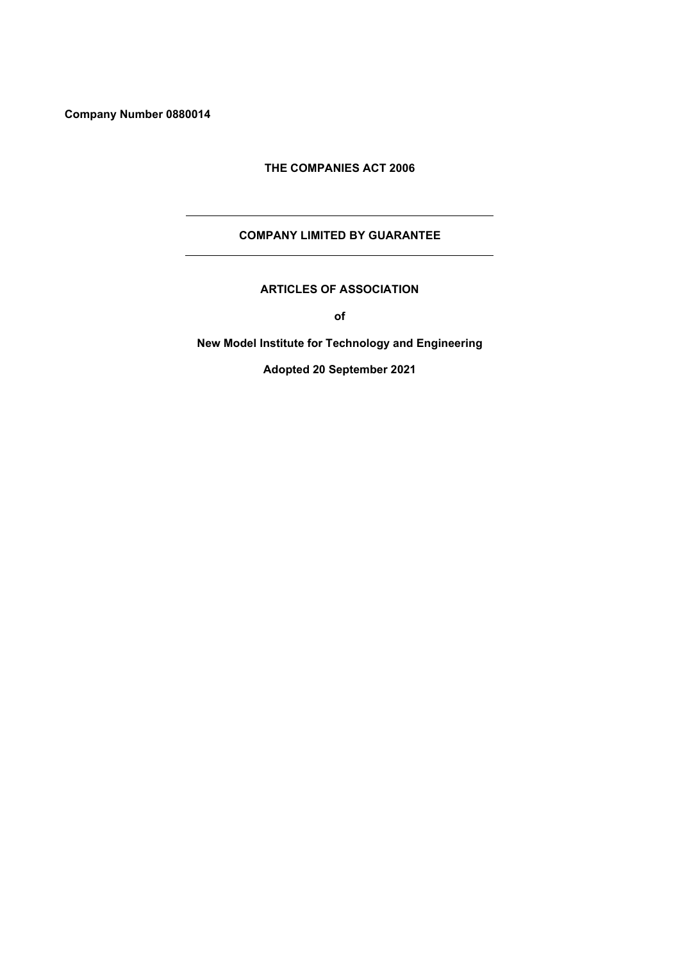**Company Number 0880014**

## **THE COMPANIES ACT 2006**

# **COMPANY LIMITED BY GUARANTEE**

**ARTICLES OF ASSOCIATION**

**of**

**New Model Institute for Technology and Engineering**

**Adopted 20 September 2021**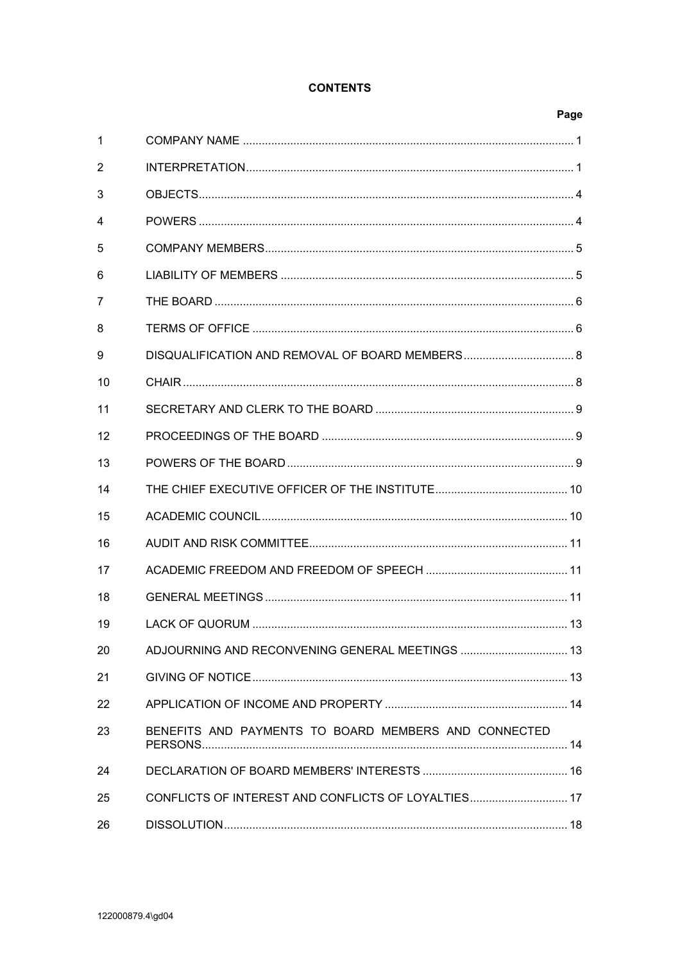# **CONTENTS**

|    |                                                      | Page |
|----|------------------------------------------------------|------|
| 1  |                                                      |      |
| 2  |                                                      |      |
| 3  |                                                      |      |
| 4  |                                                      |      |
| 5  |                                                      |      |
| 6  |                                                      |      |
| 7  |                                                      |      |
| 8  |                                                      |      |
| 9  |                                                      |      |
| 10 |                                                      |      |
| 11 |                                                      |      |
| 12 |                                                      |      |
| 13 |                                                      |      |
| 14 |                                                      |      |
| 15 |                                                      |      |
| 16 |                                                      |      |
| 17 |                                                      |      |
| 18 |                                                      |      |
| 19 |                                                      |      |
| 20 | ADJOURNING AND RECONVENING GENERAL MEETINGS  13      |      |
| 21 |                                                      |      |
| 22 |                                                      |      |
| 23 | BENEFITS AND PAYMENTS TO BOARD MEMBERS AND CONNECTED |      |
| 24 |                                                      |      |
| 25 | CONFLICTS OF INTEREST AND CONFLICTS OF LOYALTIES 17  |      |
| 26 |                                                      |      |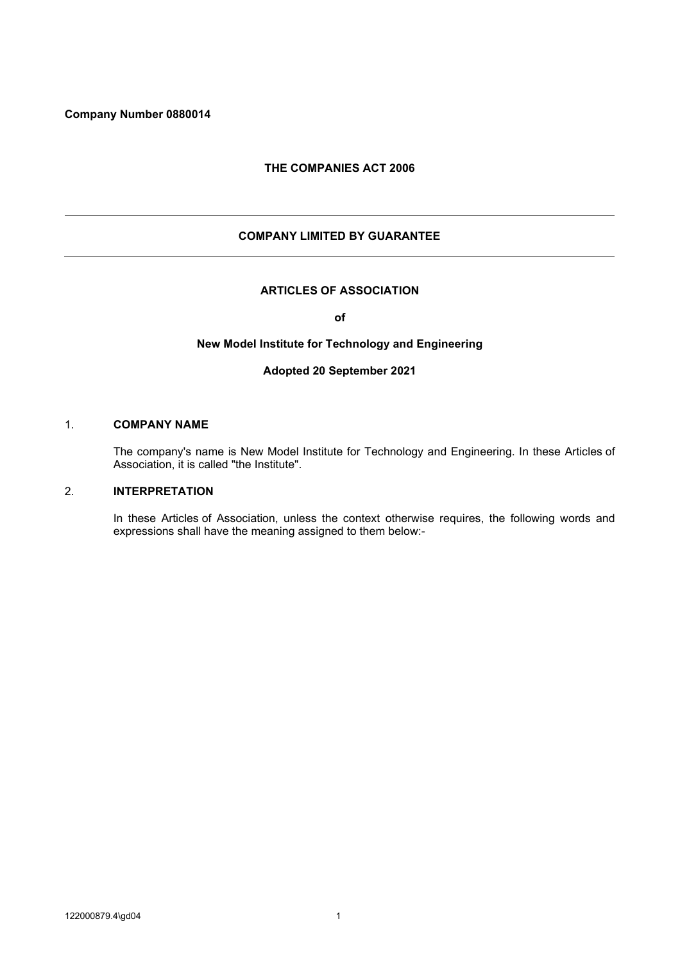## <span id="page-2-0"></span>**Company Number 0880014**

### **THE COMPANIES ACT 2006**

## **COMPANY LIMITED BY GUARANTEE**

#### **ARTICLES OF ASSOCIATION**

**of**

### **New Model Institute for Technology and Engineering**

#### **Adopted 20 September 2021**

#### 1. **COMPANY NAME**

The company's name is New Model Institute for Technology and Engineering. In these Articles of Association, it is called "the Institute".

#### 2. **INTERPRETATION**

In these Articles of Association, unless the context otherwise requires, the following words and expressions shall have the meaning assigned to them below:-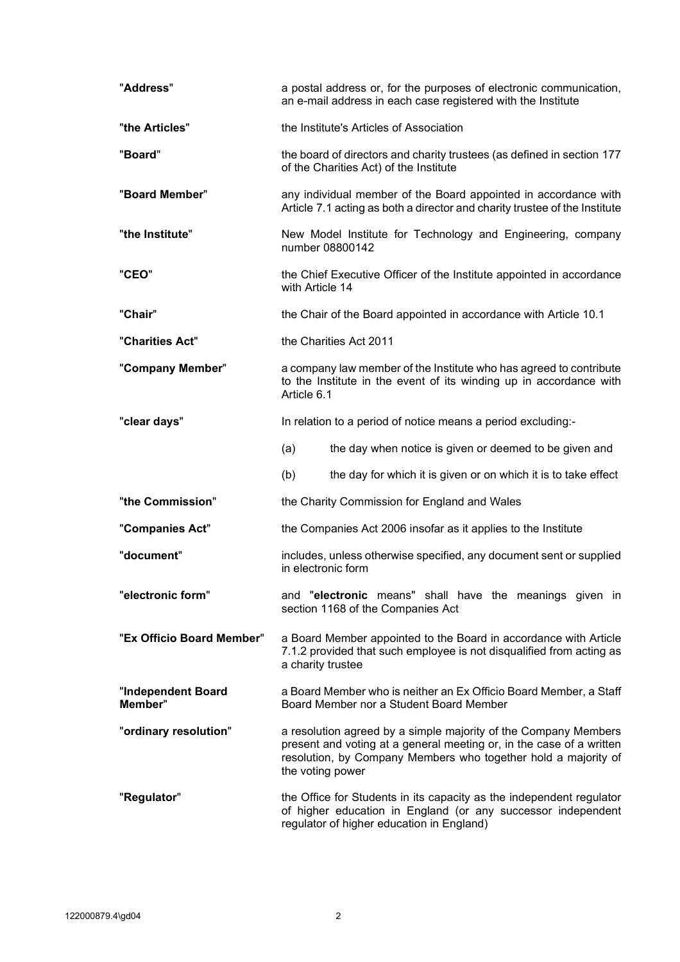| "Address"                     | a postal address or, for the purposes of electronic communication,<br>an e-mail address in each case registered with the Institute                                                                                            |                                                                                                                                                                                   |  |  |
|-------------------------------|-------------------------------------------------------------------------------------------------------------------------------------------------------------------------------------------------------------------------------|-----------------------------------------------------------------------------------------------------------------------------------------------------------------------------------|--|--|
| "the Articles"                | the Institute's Articles of Association                                                                                                                                                                                       |                                                                                                                                                                                   |  |  |
| "Board"                       | the board of directors and charity trustees (as defined in section 177<br>of the Charities Act) of the Institute                                                                                                              |                                                                                                                                                                                   |  |  |
| "Board Member"                | any individual member of the Board appointed in accordance with<br>Article 7.1 acting as both a director and charity trustee of the Institute                                                                                 |                                                                                                                                                                                   |  |  |
| "the Institute"               | New Model Institute for Technology and Engineering, company<br>number 08800142                                                                                                                                                |                                                                                                                                                                                   |  |  |
| "CEO"                         | the Chief Executive Officer of the Institute appointed in accordance<br>with Article 14                                                                                                                                       |                                                                                                                                                                                   |  |  |
| "Chair"                       | the Chair of the Board appointed in accordance with Article 10.1                                                                                                                                                              |                                                                                                                                                                                   |  |  |
| "Charities Act"               | the Charities Act 2011                                                                                                                                                                                                        |                                                                                                                                                                                   |  |  |
| "Company Member"              | a company law member of the Institute who has agreed to contribute<br>to the Institute in the event of its winding up in accordance with<br>Article 6.1                                                                       |                                                                                                                                                                                   |  |  |
| "clear days"                  | In relation to a period of notice means a period excluding:-                                                                                                                                                                  |                                                                                                                                                                                   |  |  |
|                               | (a)                                                                                                                                                                                                                           | the day when notice is given or deemed to be given and                                                                                                                            |  |  |
|                               | (b)                                                                                                                                                                                                                           | the day for which it is given or on which it is to take effect                                                                                                                    |  |  |
| "the Commission"              |                                                                                                                                                                                                                               | the Charity Commission for England and Wales                                                                                                                                      |  |  |
| "Companies Act"               | the Companies Act 2006 insofar as it applies to the Institute                                                                                                                                                                 |                                                                                                                                                                                   |  |  |
| "document"                    | includes, unless otherwise specified, any document sent or supplied<br>in electronic form                                                                                                                                     |                                                                                                                                                                                   |  |  |
| "electronic form"             |                                                                                                                                                                                                                               | and "electronic means" shall have the meanings given in<br>section 1168 of the Companies Act                                                                                      |  |  |
| "Ex Officio Board Member"     | a Board Member appointed to the Board in accordance with Article<br>7.1.2 provided that such employee is not disqualified from acting as<br>a charity trustee                                                                 |                                                                                                                                                                                   |  |  |
| "Independent Board<br>Member" |                                                                                                                                                                                                                               | a Board Member who is neither an Ex Officio Board Member, a Staff<br>Board Member nor a Student Board Member                                                                      |  |  |
| "ordinary resolution"         | a resolution agreed by a simple majority of the Company Members<br>present and voting at a general meeting or, in the case of a written<br>resolution, by Company Members who together hold a majority of<br>the voting power |                                                                                                                                                                                   |  |  |
| "Regulator"                   |                                                                                                                                                                                                                               | the Office for Students in its capacity as the independent regulator<br>of higher education in England (or any successor independent<br>regulator of higher education in England) |  |  |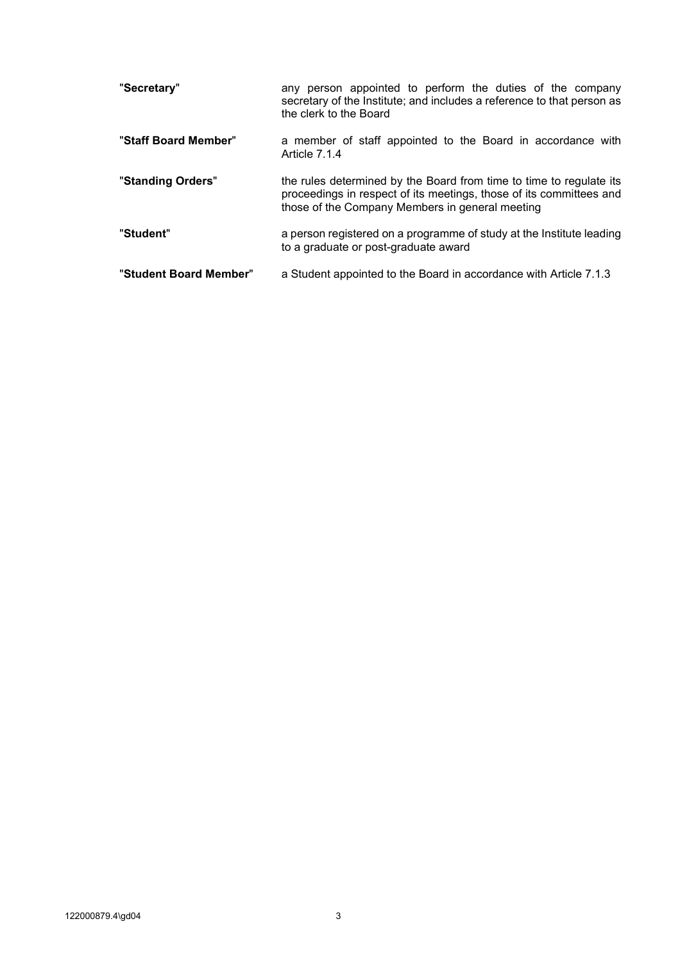| "Secretary"            | any person appointed to perform the duties of the company<br>secretary of the Institute; and includes a reference to that person as<br>the clerk to the Board                                 |
|------------------------|-----------------------------------------------------------------------------------------------------------------------------------------------------------------------------------------------|
| "Staff Board Member"   | a member of staff appointed to the Board in accordance with<br>Article 7.1.4                                                                                                                  |
| "Standing Orders"      | the rules determined by the Board from time to time to regulate its<br>proceedings in respect of its meetings, those of its committees and<br>those of the Company Members in general meeting |
| "Student"              | a person registered on a programme of study at the Institute leading<br>to a graduate or post-graduate award                                                                                  |
| "Student Board Member" | a Student appointed to the Board in accordance with Article 7.1.3                                                                                                                             |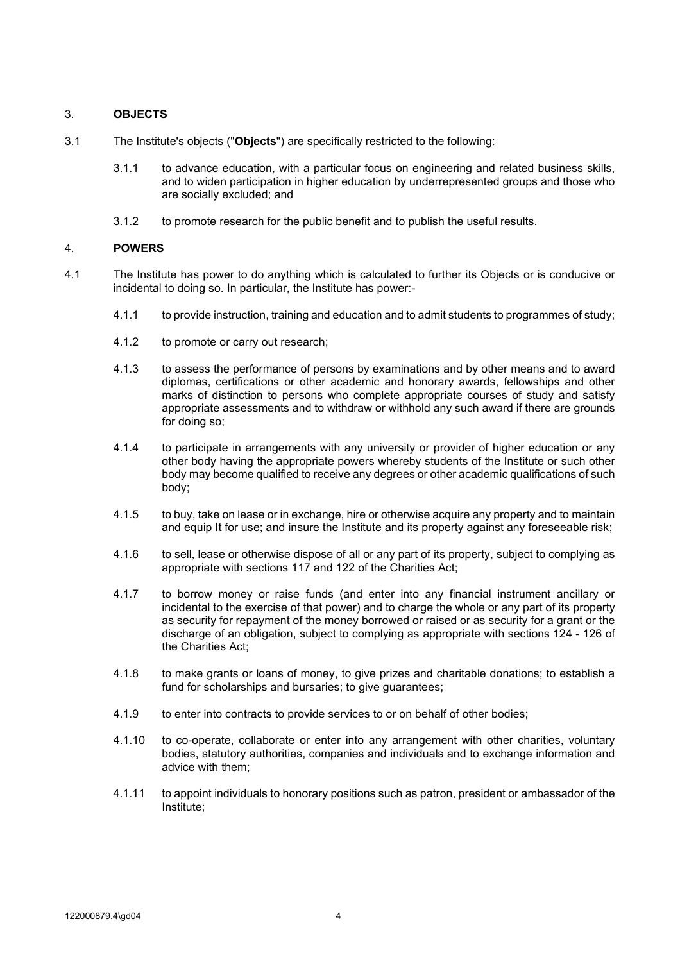## <span id="page-5-0"></span>3. **OBJECTS**

- 3.1 The Institute's objects ("**Objects**") are specifically restricted to the following:
	- 3.1.1 to advance education, with a particular focus on engineering and related business skills, and to widen participation in higher education by underrepresented groups and those who are socially excluded; and
	- 3.1.2 to promote research for the public benefit and to publish the useful results.

## 4. **POWERS**

- 4.1 The Institute has power to do anything which is calculated to further its Objects or is conducive or incidental to doing so. In particular, the Institute has power:-
	- 4.1.1 to provide instruction, training and education and to admit students to programmes of study;
	- 4.1.2 to promote or carry out research;
	- 4.1.3 to assess the performance of persons by examinations and by other means and to award diplomas, certifications or other academic and honorary awards, fellowships and other marks of distinction to persons who complete appropriate courses of study and satisfy appropriate assessments and to withdraw or withhold any such award if there are grounds for doing so;
	- 4.1.4 to participate in arrangements with any university or provider of higher education or any other body having the appropriate powers whereby students of the Institute or such other body may become qualified to receive any degrees or other academic qualifications of such body;
	- 4.1.5 to buy, take on lease or in exchange, hire or otherwise acquire any property and to maintain and equip It for use; and insure the Institute and its property against any foreseeable risk;
	- 4.1.6 to sell, lease or otherwise dispose of all or any part of its property, subject to complying as appropriate with sections 117 and 122 of the Charities Act;
	- 4.1.7 to borrow money or raise funds (and enter into any financial instrument ancillary or incidental to the exercise of that power) and to charge the whole or any part of its property as security for repayment of the money borrowed or raised or as security for a grant or the discharge of an obligation, subject to complying as appropriate with sections 124 - 126 of the Charities Act;
	- 4.1.8 to make grants or loans of money, to give prizes and charitable donations; to establish a fund for scholarships and bursaries; to give guarantees;
	- 4.1.9 to enter into contracts to provide services to or on behalf of other bodies;
	- 4.1.10 to co-operate, collaborate or enter into any arrangement with other charities, voluntary bodies, statutory authorities, companies and individuals and to exchange information and advice with them;
	- 4.1.11 to appoint individuals to honorary positions such as patron, president or ambassador of the Institute;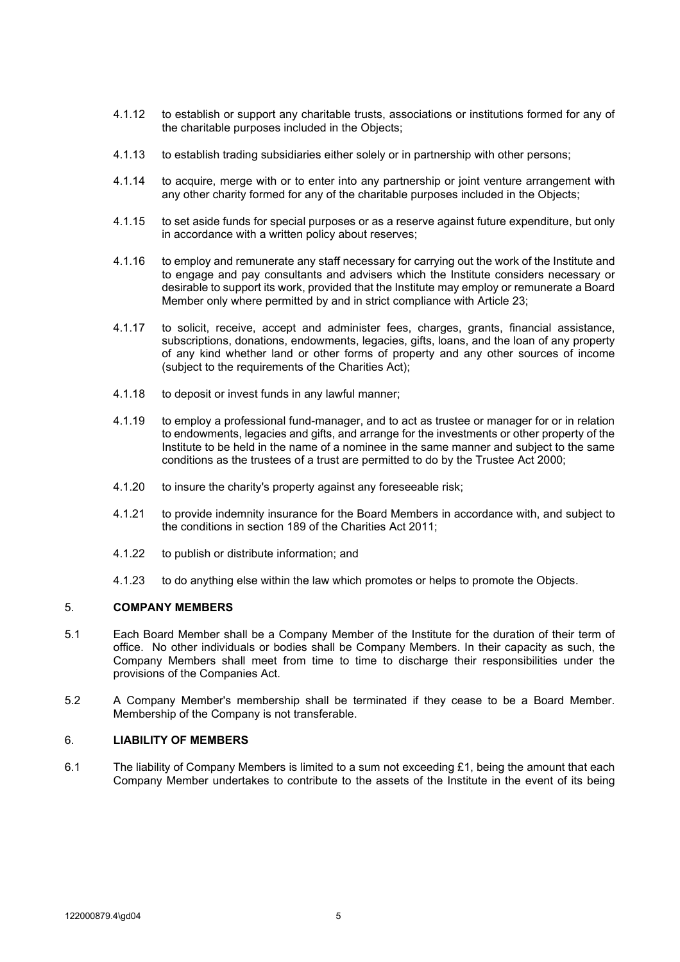- <span id="page-6-0"></span>4.1.12 to establish or support any charitable trusts, associations or institutions formed for any of the charitable purposes included in the Objects;
- 4.1.13 to establish trading subsidiaries either solely or in partnership with other persons;
- 4.1.14 to acquire, merge with or to enter into any partnership or joint venture arrangement with any other charity formed for any of the charitable purposes included in the Objects;
- 4.1.15 to set aside funds for special purposes or as a reserve against future expenditure, but only in accordance with a written policy about reserves;
- 4.1.16 to employ and remunerate any staff necessary for carrying out the work of the Institute and to engage and pay consultants and advisers which the Institute considers necessary or desirable to support its work, provided that the Institute may employ or remunerate a Board Member only where permitted by and in strict compliance with Article [23;](#page-15-1)
- 4.1.17 to solicit, receive, accept and administer fees, charges, grants, financial assistance, subscriptions, donations, endowments, legacies, gifts, loans, and the loan of any property of any kind whether land or other forms of property and any other sources of income (subject to the requirements of the Charities Act);
- 4.1.18 to deposit or invest funds in any lawful manner;
- 4.1.19 to employ a professional fund-manager, and to act as trustee or manager for or in relation to endowments, legacies and gifts, and arrange for the investments or other property of the Institute to be held in the name of a nominee in the same manner and subject to the same conditions as the trustees of a trust are permitted to do by the Trustee Act 2000;
- 4.1.20 to insure the charity's property against any foreseeable risk;
- 4.1.21 to provide indemnity insurance for the Board Members in accordance with, and subject to the conditions in section 189 of the Charities Act 2011;
- 4.1.22 to publish or distribute information; and
- 4.1.23 to do anything else within the law which promotes or helps to promote the Objects.

## 5. **COMPANY MEMBERS**

- 5.1 Each Board Member shall be a Company Member of the Institute for the duration of their term of office. No other individuals or bodies shall be Company Members. In their capacity as such, the Company Members shall meet from time to time to discharge their responsibilities under the provisions of the Companies Act.
- 5.2 A Company Member's membership shall be terminated if they cease to be a Board Member. Membership of the Company is not transferable.

## 6. **LIABILITY OF MEMBERS**

<span id="page-6-1"></span>6.1 The liability of Company Members is limited to a sum not exceeding £1, being the amount that each Company Member undertakes to contribute to the assets of the Institute in the event of its being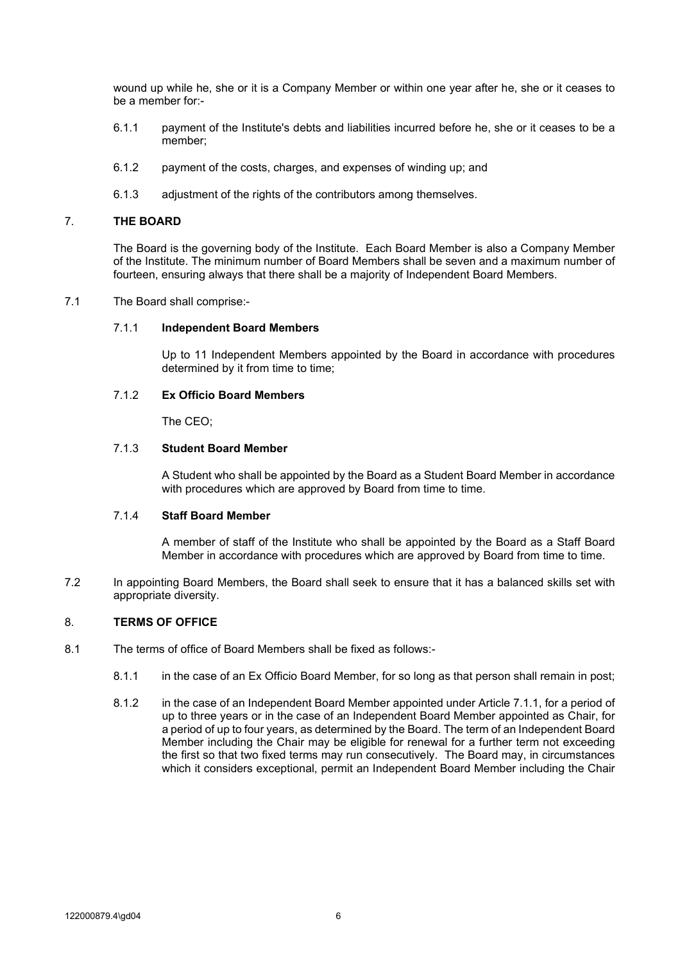<span id="page-7-0"></span>wound up while he, she or it is a Company Member or within one year after he, she or it ceases to be a member for:-

- 6.1.1 payment of the Institute's debts and liabilities incurred before he, she or it ceases to be a member;
- 6.1.2 payment of the costs, charges, and expenses of winding up; and
- 6.1.3 adjustment of the rights of the contributors among themselves.

#### 7. **THE BOARD**

The Board is the governing body of the Institute. Each Board Member is also a Company Member of the Institute. The minimum number of Board Members shall be seven and a maximum number of fourteen, ensuring always that there shall be a majority of Independent Board Members.

#### <span id="page-7-5"></span><span id="page-7-1"></span>7.1 The Board shall comprise:-

#### 7.1.1 **Independent Board Members**

Up to 11 Independent Members appointed by the Board in accordance with procedures determined by it from time to time;

#### <span id="page-7-2"></span>7.1.2 **Ex Officio Board Members**

The CEO;

## <span id="page-7-4"></span>7.1.3 **Student Board Member**

A Student who shall be appointed by the Board as a Student Board Member in accordance with procedures which are approved by Board from time to time.

#### <span id="page-7-3"></span>7.1.4 **Staff Board Member**

A member of staff of the Institute who shall be appointed by the Board as a Staff Board Member in accordance with procedures which are approved by Board from time to time.

7.2 In appointing Board Members, the Board shall seek to ensure that it has a balanced skills set with appropriate diversity.

## 8. **TERMS OF OFFICE**

- 8.1 The terms of office of Board Members shall be fixed as follows:-
	- 8.1.1 in the case of an Ex Officio Board Member, for so long as that person shall remain in post;
	- 8.1.2 in the case of an Independent Board Member appointed under Article [7.1.1,](#page-7-5) for a period of up to three years or in the case of an Independent Board Member appointed as Chair, for a period of up to four years, as determined by the Board. The term of an Independent Board Member including the Chair may be eligible for renewal for a further term not exceeding the first so that two fixed terms may run consecutively. The Board may, in circumstances which it considers exceptional, permit an Independent Board Member including the Chair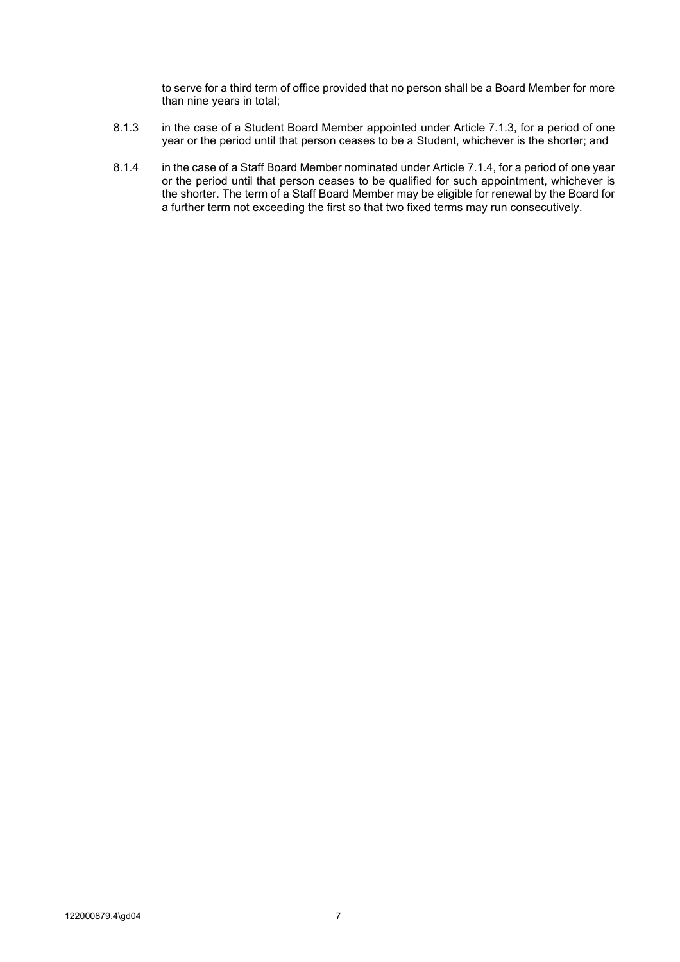to serve for a third term of office provided that no person shall be a Board Member for more than nine years in total;

- 8.1.3 in the case of a Student Board Member appointed under Article [7.1.3,](#page-7-4) for a period of one year or the period until that person ceases to be a Student, whichever is the shorter; and
- 8.1.4 in the case of a Staff Board Member nominated under Article [7.1.4,](#page-7-3) for a period of one year or the period until that person ceases to be qualified for such appointment, whichever is the shorter. The term of a Staff Board Member may be eligible for renewal by the Board for a further term not exceeding the first so that two fixed terms may run consecutively.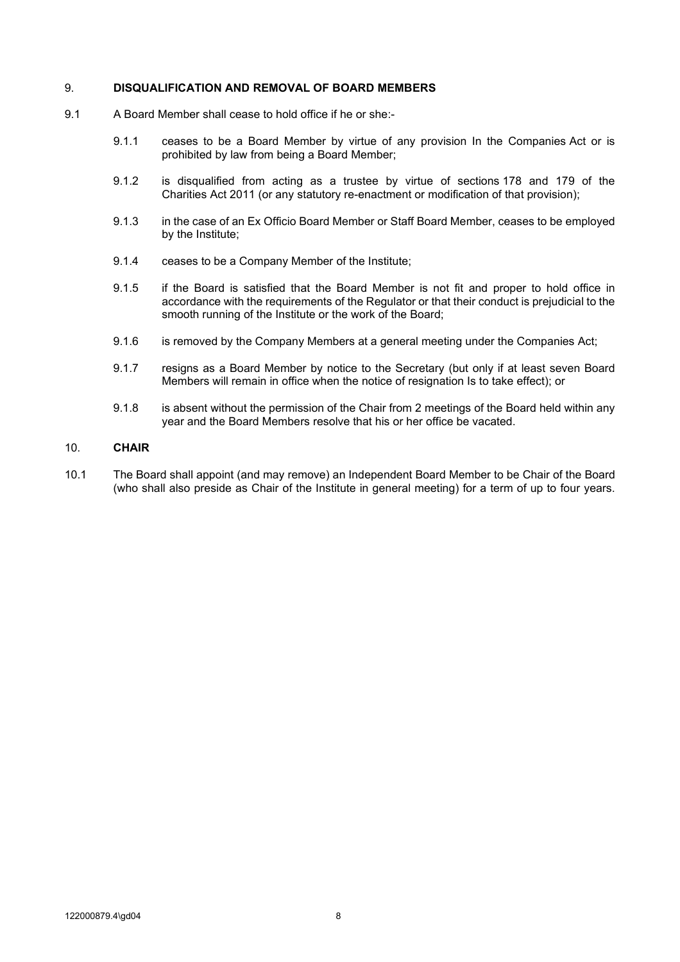#### <span id="page-9-0"></span>9. **DISQUALIFICATION AND REMOVAL OF BOARD MEMBERS**

- 9.1 A Board Member shall cease to hold office if he or she:-
	- 9.1.1 ceases to be a Board Member by virtue of any provision In the Companies Act or is prohibited by law from being a Board Member;
	- 9.1.2 is disqualified from acting as a trustee by virtue of sections 178 and 179 of the Charities Act 2011 (or any statutory re-enactment or modification of that provision);
	- 9.1.3 in the case of an Ex Officio Board Member or Staff Board Member, ceases to be employed by the Institute;
	- 9.1.4 ceases to be a Company Member of the Institute;
	- 9.1.5 if the Board is satisfied that the Board Member is not fit and proper to hold office in accordance with the requirements of the Regulator or that their conduct is prejudicial to the smooth running of the Institute or the work of the Board;
	- 9.1.6 is removed by the Company Members at a general meeting under the Companies Act;
	- 9.1.7 resigns as a Board Member by notice to the Secretary (but only if at least seven Board Members will remain in office when the notice of resignation Is to take effect); or
	- 9.1.8 is absent without the permission of the Chair from 2 meetings of the Board held within any year and the Board Members resolve that his or her office be vacated.

## 10. **CHAIR**

<span id="page-9-1"></span>10.1 The Board shall appoint (and may remove) an Independent Board Member to be Chair of the Board (who shall also preside as Chair of the Institute in general meeting) for a term of up to four years.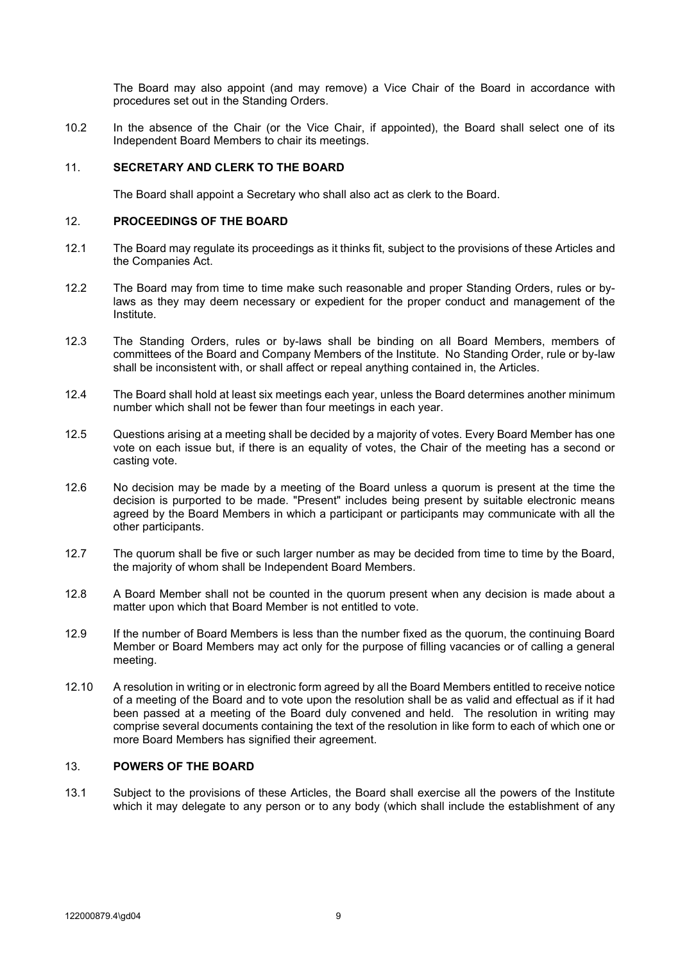The Board may also appoint (and may remove) a Vice Chair of the Board in accordance with procedures set out in the Standing Orders.

<span id="page-10-0"></span>10.2 In the absence of the Chair (or the Vice Chair, if appointed), the Board shall select one of its Independent Board Members to chair its meetings.

### 11. **SECRETARY AND CLERK TO THE BOARD**

The Board shall appoint a Secretary who shall also act as clerk to the Board.

#### 12. **PROCEEDINGS OF THE BOARD**

- 12.1 The Board may regulate its proceedings as it thinks fit, subject to the provisions of these Articles and the Companies Act.
- 12.2 The Board may from time to time make such reasonable and proper Standing Orders, rules or bylaws as they may deem necessary or expedient for the proper conduct and management of the Institute.
- 12.3 The Standing Orders, rules or by-laws shall be binding on all Board Members, members of committees of the Board and Company Members of the Institute. No Standing Order, rule or by-law shall be inconsistent with, or shall affect or repeal anything contained in, the Articles.
- 12.4 The Board shall hold at least six meetings each year, unless the Board determines another minimum number which shall not be fewer than four meetings in each year.
- 12.5 Questions arising at a meeting shall be decided by a majority of votes. Every Board Member has one vote on each issue but, if there is an equality of votes, the Chair of the meeting has a second or casting vote.
- 12.6 No decision may be made by a meeting of the Board unless a quorum is present at the time the decision is purported to be made. "Present" includes being present by suitable electronic means agreed by the Board Members in which a participant or participants may communicate with all the other participants.
- 12.7 The quorum shall be five or such larger number as may be decided from time to time by the Board, the majority of whom shall be Independent Board Members.
- 12.8 A Board Member shall not be counted in the quorum present when any decision is made about a matter upon which that Board Member is not entitled to vote.
- 12.9 If the number of Board Members is less than the number fixed as the quorum, the continuing Board Member or Board Members may act only for the purpose of filling vacancies or of calling a general meeting.
- 12.10 A resolution in writing or in electronic form agreed by all the Board Members entitled to receive notice of a meeting of the Board and to vote upon the resolution shall be as valid and effectual as if it had been passed at a meeting of the Board duly convened and held. The resolution in writing may comprise several documents containing the text of the resolution in like form to each of which one or more Board Members has signified their agreement.

#### 13. **POWERS OF THE BOARD**

13.1 Subject to the provisions of these Articles, the Board shall exercise all the powers of the Institute which it may delegate to any person or to any body (which shall include the establishment of any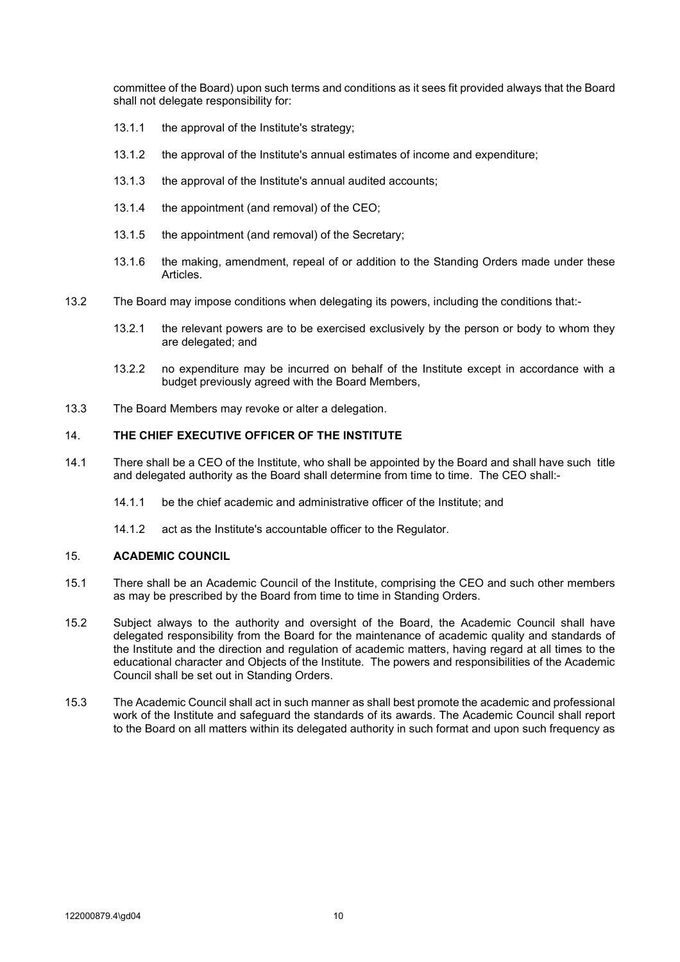<span id="page-11-0"></span>committee of the Board) upon such terms and conditions as it sees fit provided always that the Board shall not delegate responsibility for:

- 13.1.1 the approval of the Institute's strategy;
- 13.1.2 the approval of the Institute's annual estimates of income and expenditure;
- 13.1.3 the approval of the Institute's annual audited accounts;
- 13.1.4 the appointment (and removal) of the CEO;
- 13.1.5 the appointment (and removal) of the Secretary;
- 13.1.6 the making, amendment, repeal of or addition to the Standing Orders made under these Articles.
- 13.2 The Board may impose conditions when delegating its powers, including the conditions that:-
	- 13.2.1 the relevant powers are to be exercised exclusively by the person or body to whom they are delegated; and
	- 13.2.2 no expenditure may be incurred on behalf of the Institute except in accordance with a budget previously agreed with the Board Members,
- 13.3 The Board Members may revoke or alter a delegation.

## <span id="page-11-1"></span>14. **THE CHIEF EXECUTIVE OFFICER OF THE INSTITUTE**

- 14.1 There shall be a CEO of the Institute, who shall be appointed by the Board and shall have such title and delegated authority as the Board shall determine from time to time. The CEO shall:-
	- 14.1.1 be the chief academic and administrative officer of the Institute; and
	- 14.1.2 act as the Institute's accountable officer to the Regulator.

### 15. **ACADEMIC COUNCIL**

- 15.1 There shall be an Academic Council of the Institute, comprising the CEO and such other members as may be prescribed by the Board from time to time in Standing Orders.
- 15.2 Subject always to the authority and oversight of the Board, the Academic Council shall have delegated responsibility from the Board for the maintenance of academic quality and standards of the Institute and the direction and regulation of academic matters, having regard at all times to the educational character and Objects of the Institute. The powers and responsibilities of the Academic Council shall be set out in Standing Orders.
- 15.3 The Academic Council shall act in such manner as shall best promote the academic and professional work of the Institute and safeguard the standards of its awards. The Academic Council shall report to the Board on all matters within its delegated authority in such format and upon such frequency as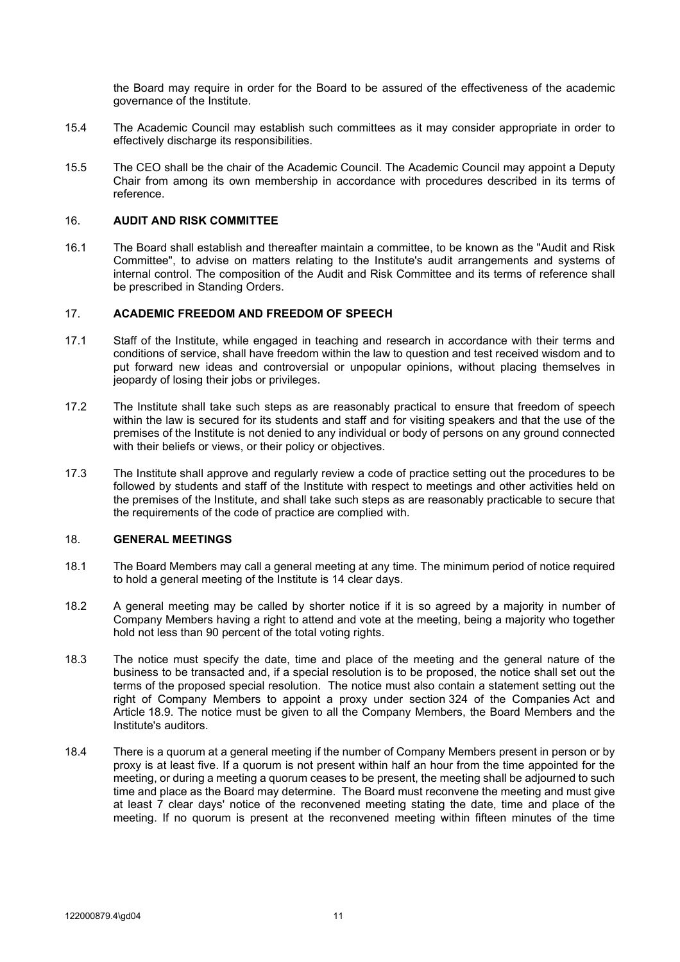the Board may require in order for the Board to be assured of the effectiveness of the academic governance of the Institute.

- <span id="page-12-0"></span>15.4 The Academic Council may establish such committees as it may consider appropriate in order to effectively discharge its responsibilities.
- 15.5 The CEO shall be the chair of the Academic Council. The Academic Council may appoint a Deputy Chair from among its own membership in accordance with procedures described in its terms of reference.

## 16. **AUDIT AND RISK COMMITTEE**

16.1 The Board shall establish and thereafter maintain a committee, to be known as the "Audit and Risk Committee", to advise on matters relating to the Institute's audit arrangements and systems of internal control. The composition of the Audit and Risk Committee and its terms of reference shall be prescribed in Standing Orders.

### 17. **ACADEMIC FREEDOM AND FREEDOM OF SPEECH**

- 17.1 Staff of the Institute, while engaged in teaching and research in accordance with their terms and conditions of service, shall have freedom within the law to question and test received wisdom and to put forward new ideas and controversial or unpopular opinions, without placing themselves in jeopardy of losing their jobs or privileges.
- 17.2 The Institute shall take such steps as are reasonably practical to ensure that freedom of speech within the law is secured for its students and staff and for visiting speakers and that the use of the premises of the Institute is not denied to any individual or body of persons on any ground connected with their beliefs or views, or their policy or objectives.
- 17.3 The Institute shall approve and regularly review a code of practice setting out the procedures to be followed by students and staff of the Institute with respect to meetings and other activities held on the premises of the Institute, and shall take such steps as are reasonably practicable to secure that the requirements of the code of practice are complied with.

#### 18. **GENERAL MEETINGS**

- 18.1 The Board Members may call a general meeting at any time. The minimum period of notice required to hold a general meeting of the Institute is 14 clear days.
- 18.2 A general meeting may be called by shorter notice if it is so agreed by a majority in number of Company Members having a right to attend and vote at the meeting, being a majority who together hold not less than 90 percent of the total voting rights.
- 18.3 The notice must specify the date, time and place of the meeting and the general nature of the business to be transacted and, if a special resolution is to be proposed, the notice shall set out the terms of the proposed special resolution. The notice must also contain a statement setting out the right of Company Members to appoint a proxy under section 324 of the Companies Act and Article [18.9.](#page-13-0) The notice must be given to all the Company Members, the Board Members and the Institute's auditors.
- 18.4 There is a quorum at a general meeting if the number of Company Members present in person or by proxy is at least five. If a quorum is not present within half an hour from the time appointed for the meeting, or during a meeting a quorum ceases to be present, the meeting shall be adjourned to such time and place as the Board may determine. The Board must reconvene the meeting and must give at least 7 clear days' notice of the reconvened meeting stating the date, time and place of the meeting. If no quorum is present at the reconvened meeting within fifteen minutes of the time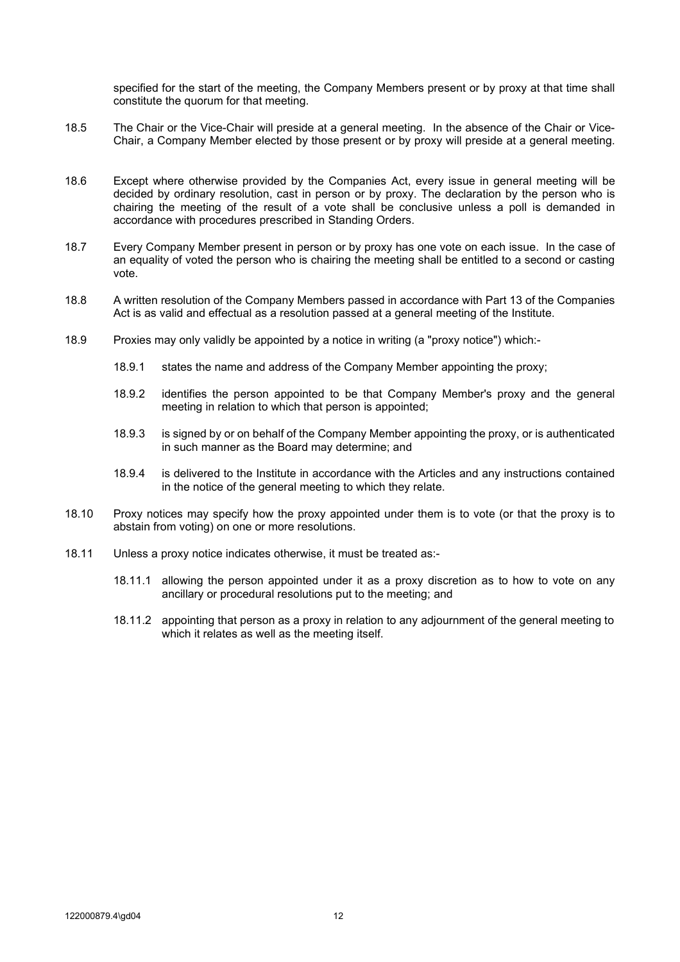specified for the start of the meeting, the Company Members present or by proxy at that time shall constitute the quorum for that meeting.

- 18.5 The Chair or the Vice-Chair will preside at a general meeting. In the absence of the Chair or Vice-Chair, a Company Member elected by those present or by proxy will preside at a general meeting.
- 18.6 Except where otherwise provided by the Companies Act, every issue in general meeting will be decided by ordinary resolution, cast in person or by proxy. The declaration by the person who is chairing the meeting of the result of a vote shall be conclusive unless a poll is demanded in accordance with procedures prescribed in Standing Orders.
- 18.7 Every Company Member present in person or by proxy has one vote on each issue. In the case of an equality of voted the person who is chairing the meeting shall be entitled to a second or casting vote.
- 18.8 A written resolution of the Company Members passed in accordance with Part 13 of the Companies Act is as valid and effectual as a resolution passed at a general meeting of the Institute.
- <span id="page-13-0"></span>18.9 Proxies may only validly be appointed by a notice in writing (a "proxy notice") which:-
	- 18.9.1 states the name and address of the Company Member appointing the proxy;
	- 18.9.2 identifies the person appointed to be that Company Member's proxy and the general meeting in relation to which that person is appointed;
	- 18.9.3 is signed by or on behalf of the Company Member appointing the proxy, or is authenticated in such manner as the Board may determine; and
	- 18.9.4 is delivered to the Institute in accordance with the Articles and any instructions contained in the notice of the general meeting to which they relate.
- 18.10 Proxy notices may specify how the proxy appointed under them is to vote (or that the proxy is to abstain from voting) on one or more resolutions.
- 18.11 Unless a proxy notice indicates otherwise, it must be treated as:-
	- 18.11.1 allowing the person appointed under it as a proxy discretion as to how to vote on any ancillary or procedural resolutions put to the meeting; and
	- 18.11.2 appointing that person as a proxy in relation to any adjournment of the general meeting to which it relates as well as the meeting itself.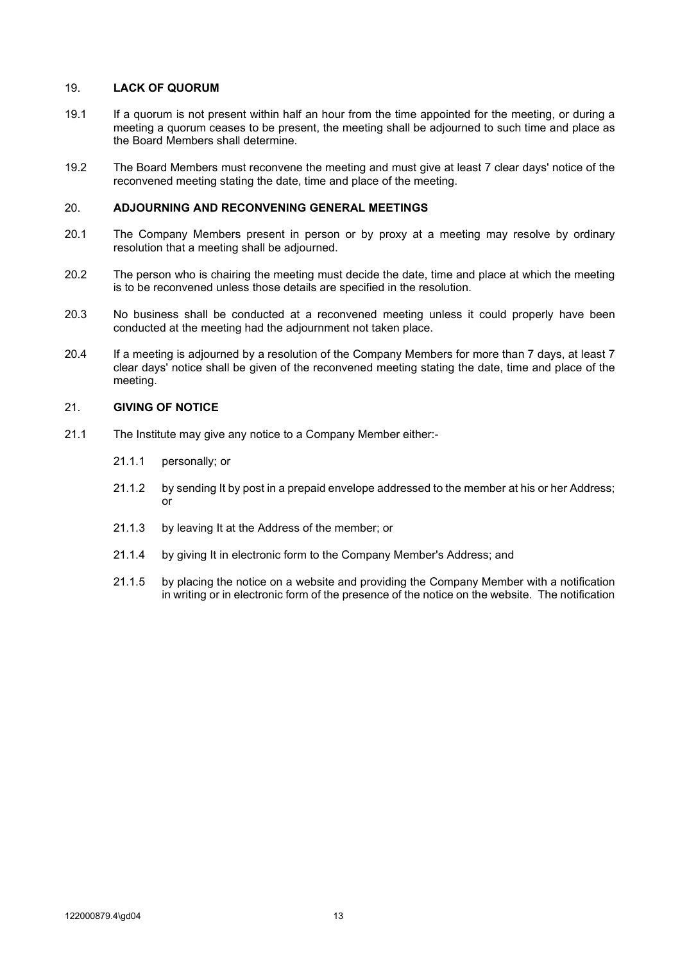## <span id="page-14-0"></span>19. **LACK OF QUORUM**

- 19.1 If a quorum is not present within half an hour from the time appointed for the meeting, or during a meeting a quorum ceases to be present, the meeting shall be adjourned to such time and place as the Board Members shall determine.
- 19.2 The Board Members must reconvene the meeting and must give at least 7 clear days' notice of the reconvened meeting stating the date, time and place of the meeting.

## 20. **ADJOURNING AND RECONVENING GENERAL MEETINGS**

- 20.1 The Company Members present in person or by proxy at a meeting may resolve by ordinary resolution that a meeting shall be adjourned.
- 20.2 The person who is chairing the meeting must decide the date, time and place at which the meeting is to be reconvened unless those details are specified in the resolution.
- 20.3 No business shall be conducted at a reconvened meeting unless it could properly have been conducted at the meeting had the adjournment not taken place.
- 20.4 If a meeting is adjourned by a resolution of the Company Members for more than 7 days, at least 7 clear days' notice shall be given of the reconvened meeting stating the date, time and place of the meeting.

#### 21. **GIVING OF NOTICE**

- 21.1 The Institute may give any notice to a Company Member either:-
	- 21.1.1 personally; or
	- 21.1.2 by sending It by post in a prepaid envelope addressed to the member at his or her Address; or
	- 21.1.3 by leaving It at the Address of the member; or
	- 21.1.4 by giving It in electronic form to the Company Member's Address; and
	- 21.1.5 by placing the notice on a website and providing the Company Member with a notification in writing or in electronic form of the presence of the notice on the website. The notification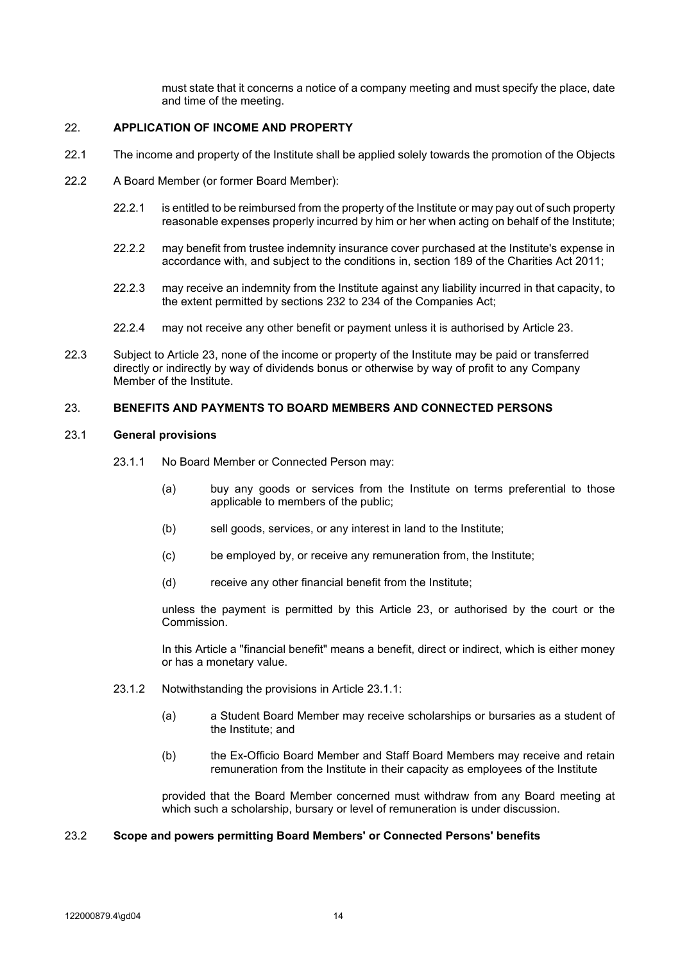must state that it concerns a notice of a company meeting and must specify the place, date and time of the meeting.

## <span id="page-15-0"></span>22. **APPLICATION OF INCOME AND PROPERTY**

- 22.1 The income and property of the Institute shall be applied solely towards the promotion of the Objects
- 22.2 A Board Member (or former Board Member):
	- 22.2.1 is entitled to be reimbursed from the property of the Institute or may pay out of such property reasonable expenses properly incurred by him or her when acting on behalf of the Institute;
	- 22.2.2 may benefit from trustee indemnity insurance cover purchased at the Institute's expense in accordance with, and subject to the conditions in, section 189 of the Charities Act 2011;
	- 22.2.3 may receive an indemnity from the Institute against any liability incurred in that capacity, to the extent permitted by sections 232 to 234 of the Companies Act;
	- 22.2.4 may not receive any other benefit or payment unless it is authorised by Article [23.](#page-15-1)
- 22.3 Subject to Article [23,](#page-15-1) none of the income or property of the Institute may be paid or transferred directly or indirectly by way of dividends bonus or otherwise by way of profit to any Company Member of the Institute.

### <span id="page-15-1"></span>23. **BENEFITS AND PAYMENTS TO BOARD MEMBERS AND CONNECTED PERSONS**

### <span id="page-15-2"></span>23.1 **General provisions**

- 23.1.1 No Board Member or Connected Person may:
	- (a) buy any goods or services from the Institute on terms preferential to those applicable to members of the public;
	- (b) sell goods, services, or any interest in land to the Institute;
	- (c) be employed by, or receive any remuneration from, the Institute;
	- (d) receive any other financial benefit from the Institute;

unless the payment is permitted by this Article [23,](#page-15-1) or authorised by the court or the Commission.

In this Article a "financial benefit" means a benefit, direct or indirect, which is either money or has a monetary value.

- 23.1.2 Notwithstanding the provisions in Article [23.1.1:](#page-15-2)
	- (a) a Student Board Member may receive scholarships or bursaries as a student of the Institute; and
	- (b) the Ex-Officio Board Member and Staff Board Members may receive and retain remuneration from the Institute in their capacity as employees of the Institute

provided that the Board Member concerned must withdraw from any Board meeting at which such a scholarship, bursary or level of remuneration is under discussion.

## 23.2 **Scope and powers permitting Board Members' or Connected Persons' benefits**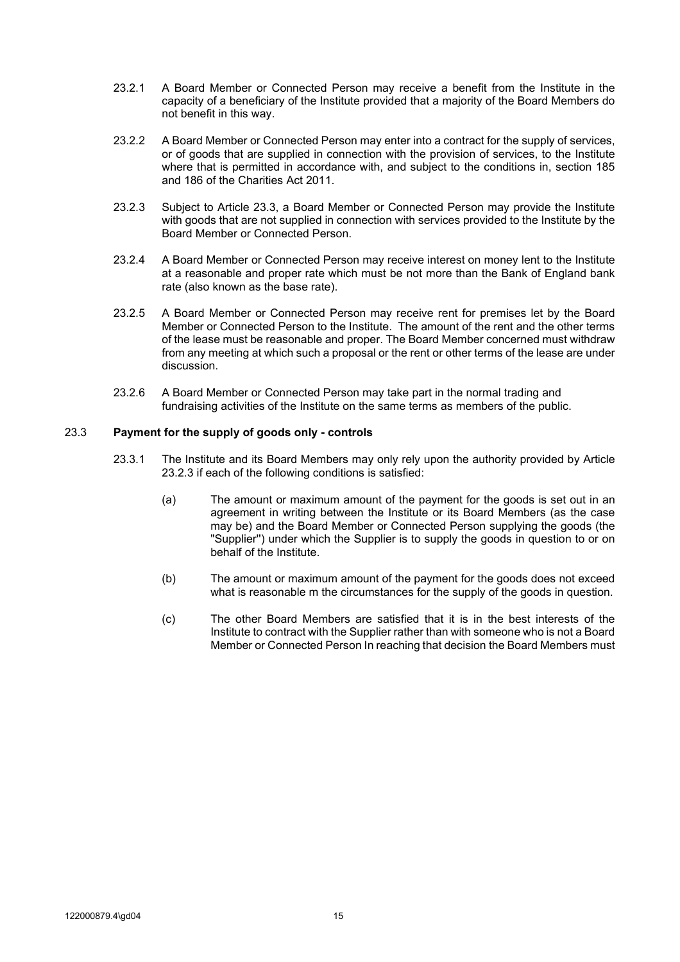- 23.2.1 A Board Member or Connected Person may receive a benefit from the Institute in the capacity of a beneficiary of the Institute provided that a majority of the Board Members do not benefit in this way.
- 23.2.2 A Board Member or Connected Person may enter into a contract for the supply of services, or of goods that are supplied in connection with the provision of services, to the Institute where that is permitted in accordance with, and subject to the conditions in, section 185 and 186 of the Charities Act 2011.
- <span id="page-16-1"></span>23.2.3 Subject to Article [23.3,](#page-16-0) a Board Member or Connected Person may provide the Institute with goods that are not supplied in connection with services provided to the Institute by the Board Member or Connected Person.
- 23.2.4 A Board Member or Connected Person may receive interest on money lent to the Institute at a reasonable and proper rate which must be not more than the Bank of England bank rate (also known as the base rate).
- 23.2.5 A Board Member or Connected Person may receive rent for premises let by the Board Member or Connected Person to the Institute. The amount of the rent and the other terms of the lease must be reasonable and proper. The Board Member concerned must withdraw from any meeting at which such a proposal or the rent or other terms of the lease are under discussion.
- 23.2.6 A Board Member or Connected Person may take part in the normal trading and fundraising activities of the Institute on the same terms as members of the public.

## <span id="page-16-0"></span>23.3 **Payment for the supply of goods only - controls**

- 23.3.1 The Institute and its Board Members may only rely upon the authority provided by Article [23.2.3](#page-16-1) if each of the following conditions is satisfied:
	- (a) The amount or maximum amount of the payment for the goods is set out in an agreement in writing between the Institute or its Board Members (as the case may be) and the Board Member or Connected Person supplying the goods (the "Supplier'') under which the Supplier is to supply the goods in question to or on behalf of the Institute.
	- (b) The amount or maximum amount of the payment for the goods does not exceed what is reasonable m the circumstances for the supply of the goods in question.
	- (c) The other Board Members are satisfied that it is in the best interests of the Institute to contract with the Supplier rather than with someone who is not a Board Member or Connected Person In reaching that decision the Board Members must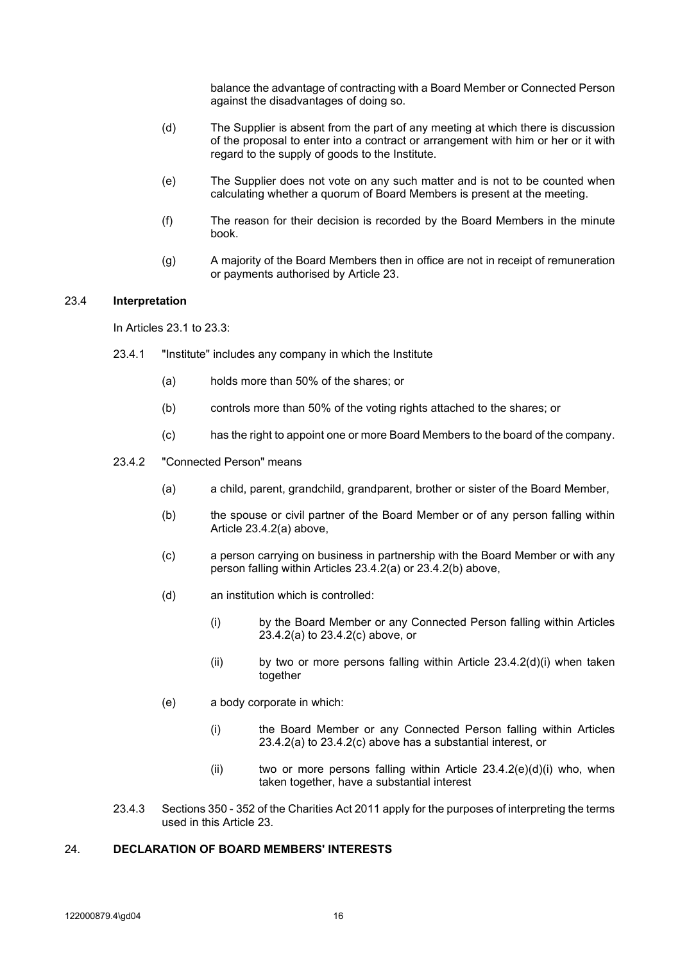balance the advantage of contracting with a Board Member or Connected Person against the disadvantages of doing so.

- <span id="page-17-0"></span>(d) The Supplier is absent from the part of any meeting at which there is discussion of the proposal to enter into a contract or arrangement with him or her or it with regard to the supply of goods to the Institute.
- (e) The Supplier does not vote on any such matter and is not to be counted when calculating whether a quorum of Board Members is present at the meeting.
- (f) The reason for their decision is recorded by the Board Members in the minute book.
- (g) A majority of the Board Members then in office are not in receipt of remuneration or payments authorised by Article 23.

### 23.4 **Interpretation**

In Articles 23.1 to 23.3:

- 23.4.1 "Institute" includes any company in which the Institute
	- (a) holds more than 50% of the shares; or
	- (b) controls more than 50% of the voting rights attached to the shares; or
	- (c) has the right to appoint one or more Board Members to the board of the company.
- 23.4.2 "Connected Person" means
	- (a) a child, parent, grandchild, grandparent, brother or sister of the Board Member,
	- (b) the spouse or civil partner of the Board Member or of any person falling within Article 23.4.2(a) above,
	- (c) a person carrying on business in partnership with the Board Member or with any person falling within Articles 23.4.2(a) or 23.4.2(b) above,
	- (d) an institution which is controlled:
		- (i) by the Board Member or any Connected Person falling within Articles 23.4.2(a) to 23.4.2(c) above, or
		- (ii) by two or more persons falling within Article 23.4.2(d)(i) when taken together
	- (e) a body corporate in which:
		- (i) the Board Member or any Connected Person falling within Articles 23.4.2(a) to 23.4.2(c) above has a substantial interest, or
		- (ii) two or more persons falling within Article  $23.4.2(e)(d)(i)$  who, when taken together, have a substantial interest
- 23.4.3 Sections 350 352 of the Charities Act 2011 apply for the purposes of interpreting the terms used in this Article 23.

## 24. **DECLARATION OF BOARD MEMBERS' INTERESTS**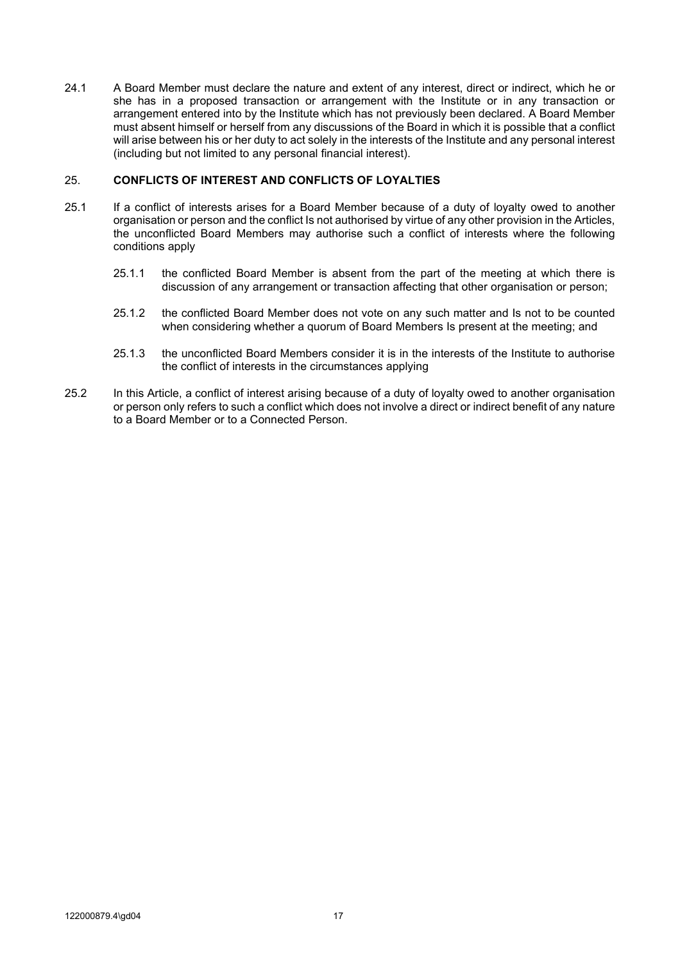<span id="page-18-0"></span>24.1 A Board Member must declare the nature and extent of any interest, direct or indirect, which he or she has in a proposed transaction or arrangement with the Institute or in any transaction or arrangement entered into by the Institute which has not previously been declared. A Board Member must absent himself or herself from any discussions of the Board in which it is possible that a conflict will arise between his or her duty to act solely in the interests of the Institute and any personal interest (including but not limited to any personal financial interest).

## 25. **CONFLICTS OF INTEREST AND CONFLICTS OF LOYALTIES**

- 25.1 If a conflict of interests arises for a Board Member because of a duty of loyalty owed to another organisation or person and the conflict Is not authorised by virtue of any other provision in the Articles, the unconflicted Board Members may authorise such a conflict of interests where the following conditions apply
	- 25.1.1 the conflicted Board Member is absent from the part of the meeting at which there is discussion of any arrangement or transaction affecting that other organisation or person;
	- 25.1.2 the conflicted Board Member does not vote on any such matter and Is not to be counted when considering whether a quorum of Board Members Is present at the meeting; and
	- 25.1.3 the unconflicted Board Members consider it is in the interests of the Institute to authorise the conflict of interests in the circumstances applying
- 25.2 In this Article, a conflict of interest arising because of a duty of loyalty owed to another organisation or person only refers to such a conflict which does not involve a direct or indirect benefit of any nature to a Board Member or to a Connected Person.